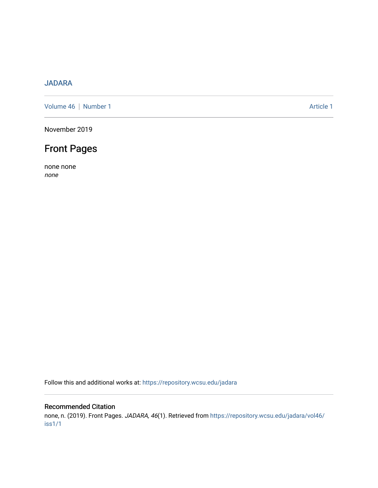## [JADARA](https://repository.wcsu.edu/jadara)

[Volume 46](https://repository.wcsu.edu/jadara/vol46) | [Number 1](https://repository.wcsu.edu/jadara/vol46/iss1) Article 1

November 2019

# Front Pages

none none none

Follow this and additional works at: [https://repository.wcsu.edu/jadara](https://repository.wcsu.edu/jadara?utm_source=repository.wcsu.edu%2Fjadara%2Fvol46%2Fiss1%2F1&utm_medium=PDF&utm_campaign=PDFCoverPages)

#### Recommended Citation

none, n. (2019). Front Pages. JADARA, 46(1). Retrieved from [https://repository.wcsu.edu/jadara/vol46/](https://repository.wcsu.edu/jadara/vol46/iss1/1?utm_source=repository.wcsu.edu%2Fjadara%2Fvol46%2Fiss1%2F1&utm_medium=PDF&utm_campaign=PDFCoverPages) [iss1/1](https://repository.wcsu.edu/jadara/vol46/iss1/1?utm_source=repository.wcsu.edu%2Fjadara%2Fvol46%2Fiss1%2F1&utm_medium=PDF&utm_campaign=PDFCoverPages)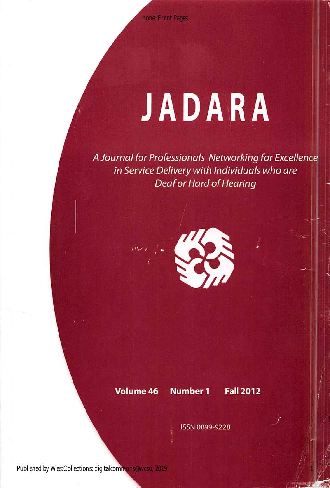# JADARA

A Journal for Professionals Networking for Excellence in Service Delivery with Individuals who are Deaf or Hard of Hearing



#### Volume 46 Number 1 Fall 2012

1

ISSN 0899-9228

Published by WestCollections: digitalcommons@wcsu, 2019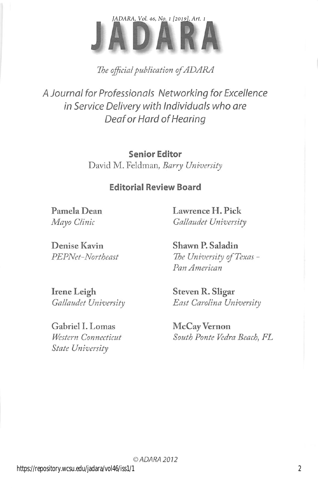

The official publication of ADARA

A Journal for Professionals Networking for Excellence in Service Delivery with Individuals who are Deaf or Hard of Hearing

> Senior Editor David M. Feldman, Barry University

### Editorial Review Board

Pamela Dean Lawrence H. Pick Mayo Clinic Gallaudet University

Denise Kavin Shawn P. Saladin

PEPNet-Northeast The University of Texas -Pan American

Irene Leigh Steven R. Sligar

Gabriel I. Lomas McCay Vernon State University

Gallaudet University East Carolina University

Western Connecticut South Ponte Vedra Beach, FL

2